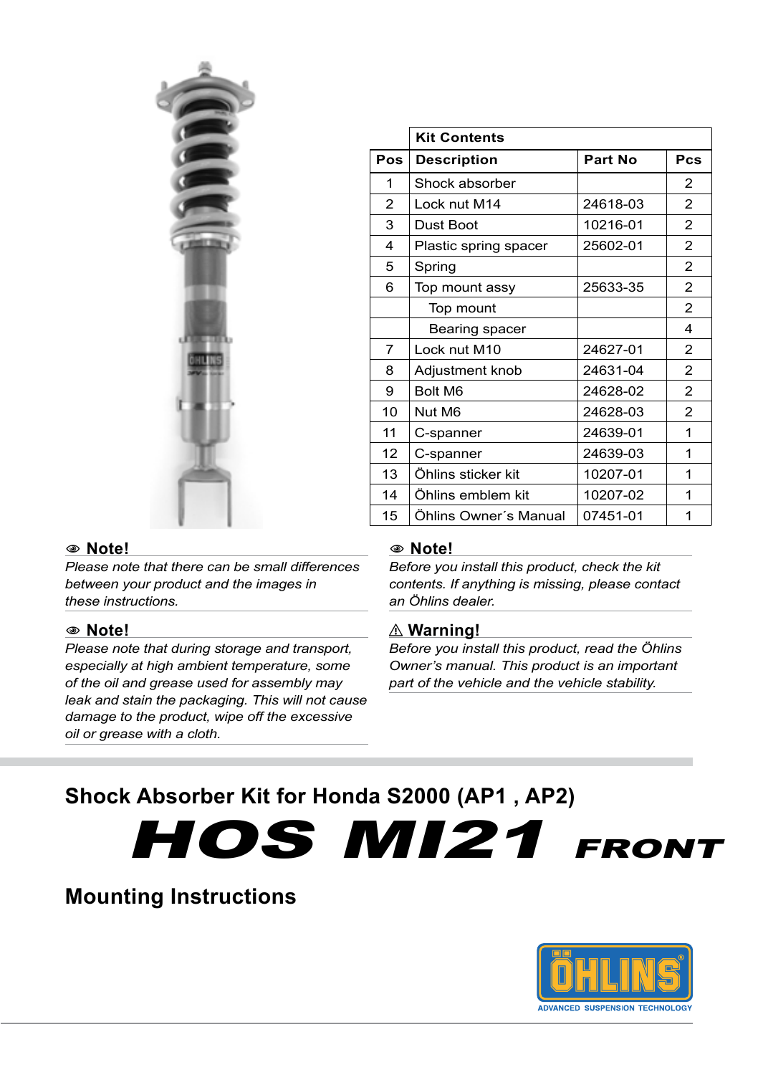

|                | <b>Kit Contents</b>   |          |     |
|----------------|-----------------------|----------|-----|
| Pos            | <b>Description</b>    | Part No  | Pcs |
| 1              | Shock absorber        |          | 2   |
| $\overline{2}$ | Lock nut M14          | 24618-03 | 2   |
| 3              | Dust Boot             | 10216-01 | 2   |
| $\overline{4}$ | Plastic spring spacer | 25602-01 | 2   |
| 5              | Spring                |          | 2   |
| 6              | Top mount assy        | 25633-35 | 2   |
|                | Top mount             |          | 2   |
|                | Bearing spacer        |          | 4   |
| 7              | Lock nut M10          | 24627-01 | 2   |
| 8              | Adjustment knob       | 24631-04 | 2   |
| 9              | Bolt M6               | 24628-02 | 2   |
| 10             | Nut M6                | 24628-03 | 2   |
| 11             | C-spanner             | 24639-01 | 1   |
| 12             | C-spanner             | 24639-03 | 1   |
| 13             | Öhlins sticker kit    | 10207-01 | 1   |
| 14             | Öhlins emblem kit     | 10207-02 | 1   |
| 15             | Ohlins Owner's Manual | 07451-01 | 1   |

## 1 **Note!**

*Please note that there can be small differences between your product and the images in these instructions.*

## 1 **Note!**

*Please note that during storage and transport, especially at high ambient temperature, some of the oil and grease used for assembly may leak and stain the packaging. This will not cause damage to the product, wipe off the excessive oil or grease with a cloth.*

#### 1 **Note!**

*Before you install this product, check the kit contents. If anything is missing, please contact an Öhlins dealer.*

#### ⚠ **Warning!**

*Before you install this product, read the Öhlins Owner's manual. This product is an important part of the vehicle and the vehicle stability.*

# **Shock Absorber Kit for Honda S2000 (AP1 , AP2)**

**HOS MI21 FRONT** 

# **Mounting Instructions**

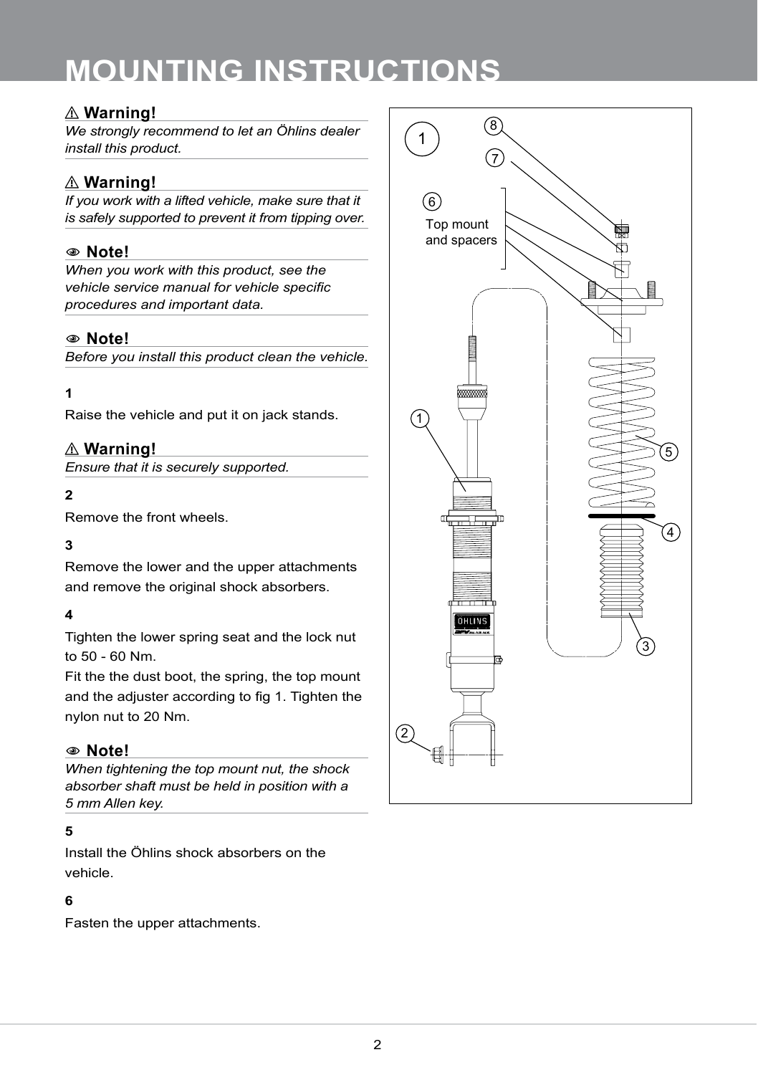# ⚠ **Warning!**

*We strongly recommend to let an Öhlins dealer install this product.*

# ⚠ **Warning!**

*If you work with a lifted vehicle, make sure that it is safely supported to prevent it from tipping over.*

# 1 **Note!**

*When you work with this product, see the vehicle service manual for vehicle specific procedures and important data.*

# 1 **Note!**

*Before you install this product clean the vehicle.*

## **1**

Raise the vehicle and put it on jack stands.

# ⚠ **Warning!**

*Ensure that it is securely supported.*

# **2**

Remove the front wheels.

# **3**

Remove the lower and the upper attachments and remove the original shock absorbers.

# **4**

Tighten the lower spring seat and the lock nut to 50 - 60 Nm.

Fit the the dust boot, the spring, the top mount and the adjuster according to fig 1. Tighten the nylon nut to 20 Nm.

## 1 **Note!**

*When tightening the top mount nut, the shock absorber shaft must be held in position with a 5 mm Allen key.*

# **5**

Install the Öhlins shock absorbers on the vehicle.

## **6**

Fasten the upper attachments.

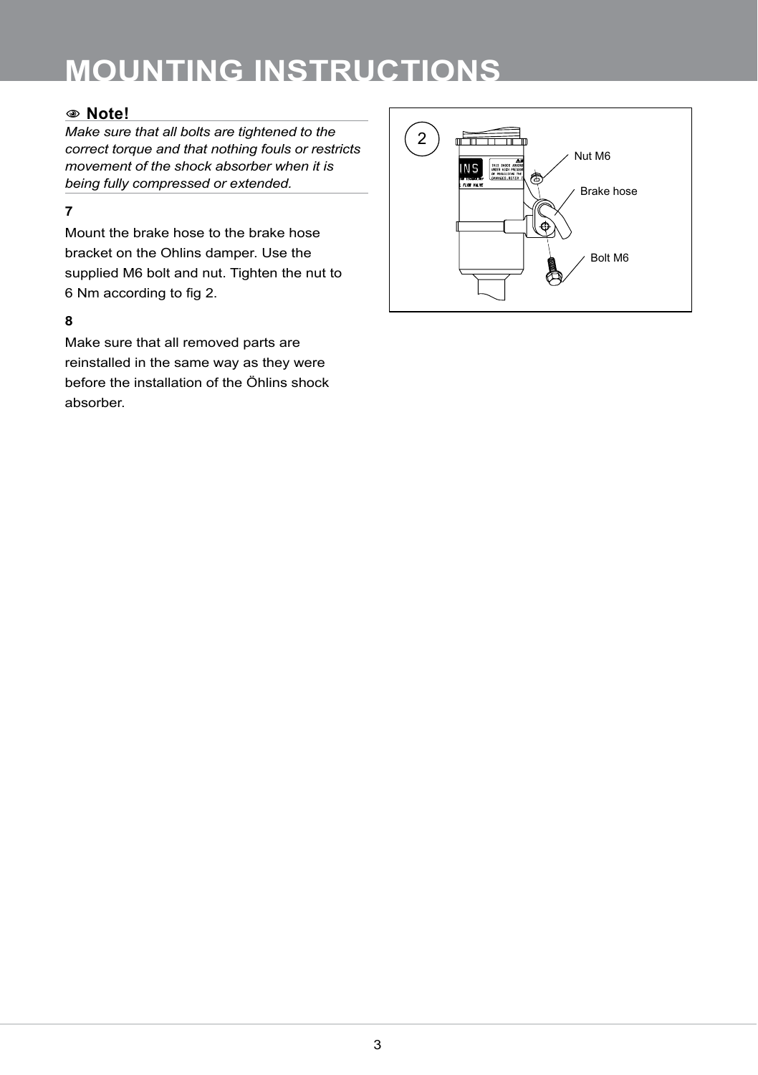# 1 **Note!**

*Make sure that all bolts are tightened to the correct torque and that nothing fouls or restricts movement of the shock absorber when it is being fully compressed or extended.*

## **7**

Mount the brake hose to the brake hose bracket on the Ohlins damper. Use the supplied M6 bolt and nut. Tighten the nut to 6 Nm according to fig 2.

#### **8**

Make sure that all removed parts are reinstalled in the same way as they were before the installation of the Öhlins shock absorber.

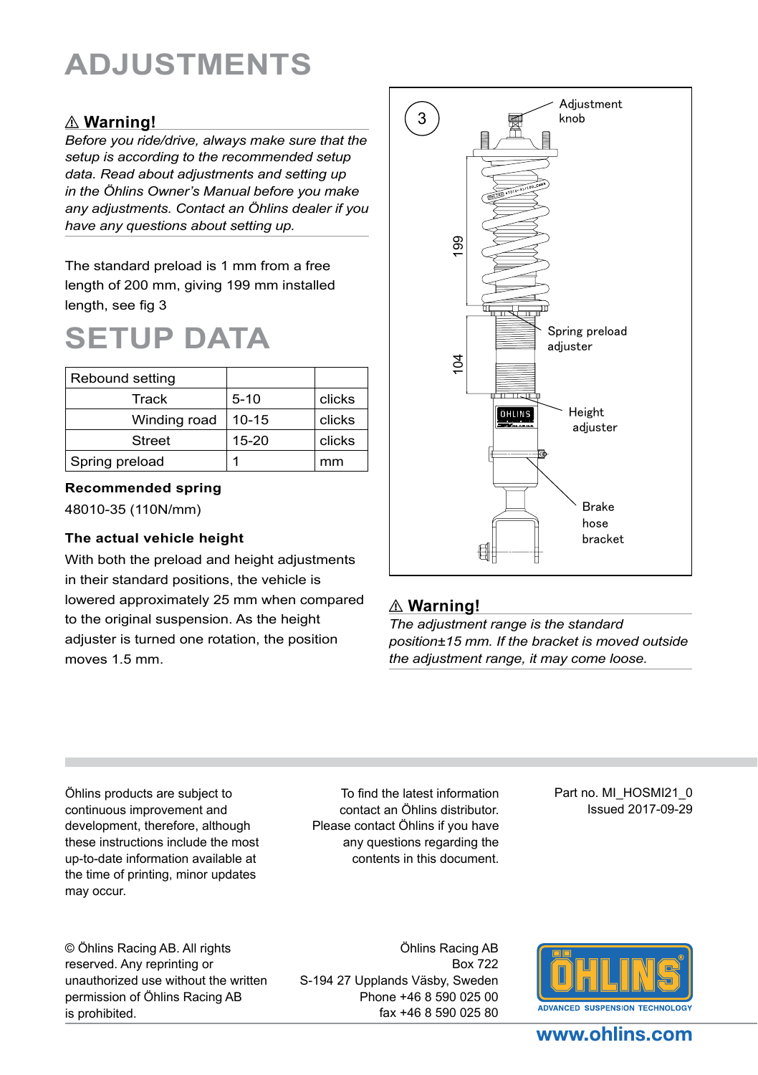# **ADJUSTMENTS**

# ⚠ **Warning!**

*Before you ride/drive, always make sure that the setup is according to the recommended setup data. Read about adjustments and setting up in the Öhlins Owner's Manual before you make any adjustments. Contact an Öhlins dealer if you have any questions about setting up.*

The standard preload is 1 mm from a free length of 200 mm, giving 199 mm installed length, see fig 3

# **SETUP DATA**

| Rebound setting |           |        |
|-----------------|-----------|--------|
| Track           | $5 - 10$  | clicks |
| Winding road    | $10 - 15$ | clicks |
| <b>Street</b>   | $15 - 20$ | clicks |
| Spring preload  |           | mm     |

#### **Recommended spring**

48010-35 (110N/mm)

#### **The actual vehicle height**

With both the preload and height adjustments in their standard positions, the vehicle is lowered approximately 25 mm when compared to the original suspension. As the height adjuster is turned one rotation, the position moves 1.5 mm.



# ⚠ **Warning!**

*The adjustment range is the standard position±15 mm. If the bracket is moved outside* 

Öhlins products are subject to continuous improvement and development, therefore, although these instructions include the most up-to-date information available at the time of printing, minor updates may occur.

To find the latest information contact an Öhlins distributor. Please contact Öhlins if you have any questions regarding the contents in this document.

Part no. MI\_HOSMI21\_0 Issued 2017-09-29

© Öhlins Racing AB. All rights reserved. Any reprinting or unauthorized use without the written permission of Öhlins Racing AB is prohibited.

Öhlins Racing AB Box 722 S-194 27 Upplands Väsby, Sweden Phone +46 8 590 025 00 fax +46 8 590 025 80



# www.ohlins.com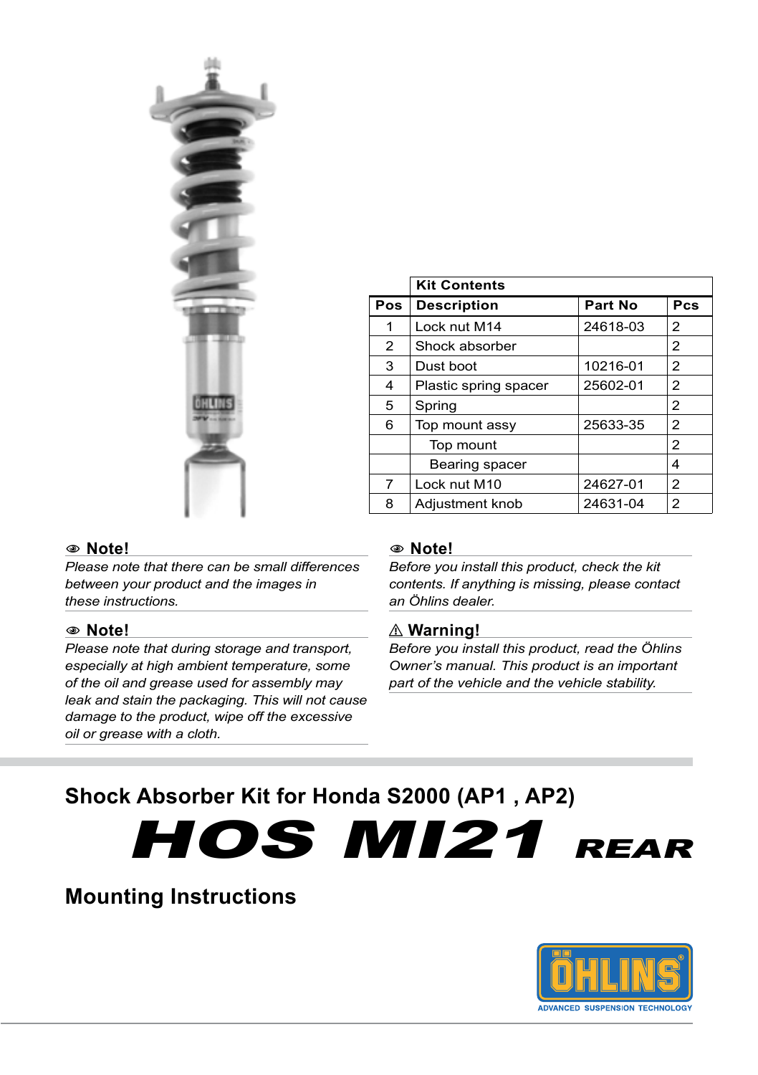

|     | <b>Kit Contents</b>   |          |     |
|-----|-----------------------|----------|-----|
| Pos | <b>Description</b>    | Part No  | Pcs |
| 1   | Lock nut M14          | 24618-03 | 2   |
| 2   | Shock absorber        |          | 2   |
| 3   | Dust boot             | 10216-01 | 2   |
| 4   | Plastic spring spacer | 25602-01 | 2   |
| 5   | Spring                |          | 2   |
| 6   | Top mount assy        | 25633-35 | 2   |
|     | Top mount             |          | 2   |
|     | Bearing spacer        |          | 4   |
| 7   | Lock nut M10          | 24627-01 | 2   |
| 8   | Adjustment knob       | 24631-04 | 2   |

#### 1 **Note!**

*Please note that there can be small differences between your product and the images in these instructions.*

#### 1 **Note!**

*Please note that during storage and transport, especially at high ambient temperature, some of the oil and grease used for assembly may leak and stain the packaging. This will not cause damage to the product, wipe off the excessive oil or grease with a cloth.*

#### 1 **Note!**

*Before you install this product, check the kit contents. If anything is missing, please contact an Öhlins dealer.*

#### ⚠ **Warning!**

*Before you install this product, read the Öhlins Owner's manual. This product is an important part of the vehicle and the vehicle stability.*

# **Shock Absorber Kit for Honda S2000 (AP1 , AP2)**

HOS MI21 REAR

# **Mounting Instructions**

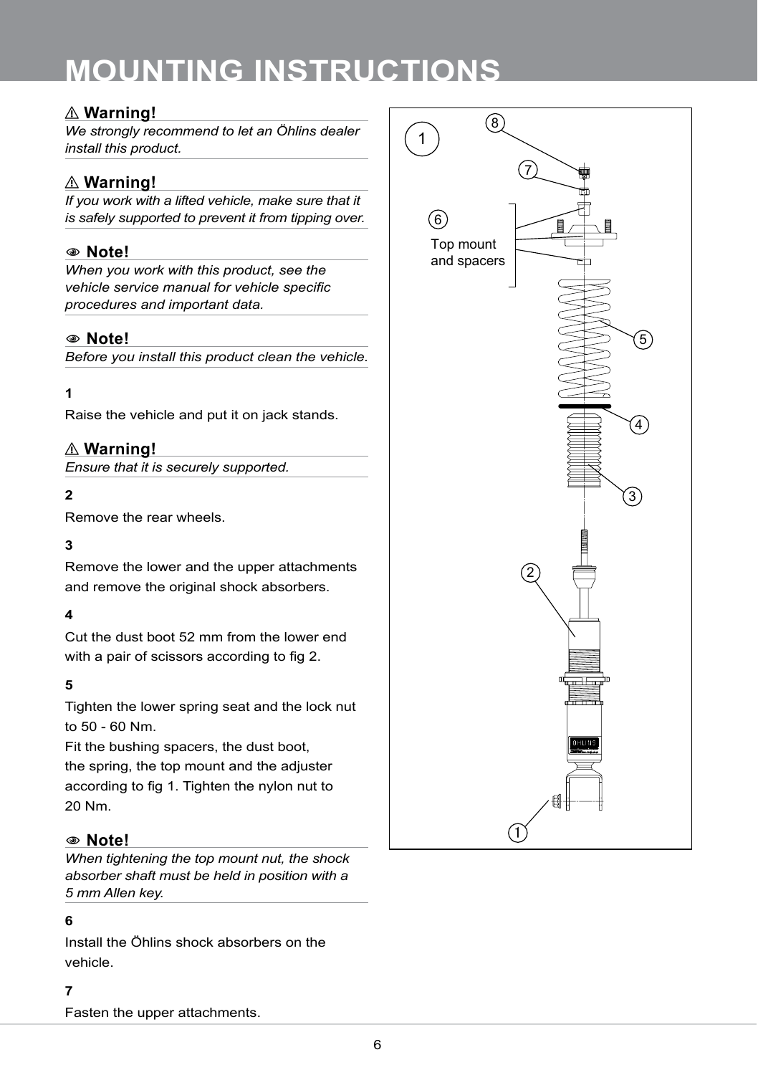# ⚠ **Warning!**

*We strongly recommend to let an Öhlins dealer install this product.*

# ⚠ **Warning!**

*If you work with a lifted vehicle, make sure that it is safely supported to prevent it from tipping over.*

# 1 **Note!**

*When you work with this product, see the vehicle service manual for vehicle specific procedures and important data.*

# 1 **Note!**

*Before you install this product clean the vehicle.*

## **1**

Raise the vehicle and put it on jack stands.

# ⚠ **Warning!**

*Ensure that it is securely supported.*

# **2**

Remove the rear wheels.

## **3**

Remove the lower and the upper attachments and remove the original shock absorbers.

## **4**

Cut the dust boot 52 mm from the lower end with a pair of scissors according to fig 2.

## **5**

Tighten the lower spring seat and the lock nut to 50 - 60 Nm.

Fit the bushing spacers, the dust boot, the spring, the top mount and the adjuster according to fig 1. Tighten the nylon nut to 20 Nm.

## 1 **Note!**

*When tightening the top mount nut, the shock absorber shaft must be held in position with a 5 mm Allen key.*

#### **6**

Install the Öhlins shock absorbers on the vehicle.

#### **7**

Fasten the upper attachments.

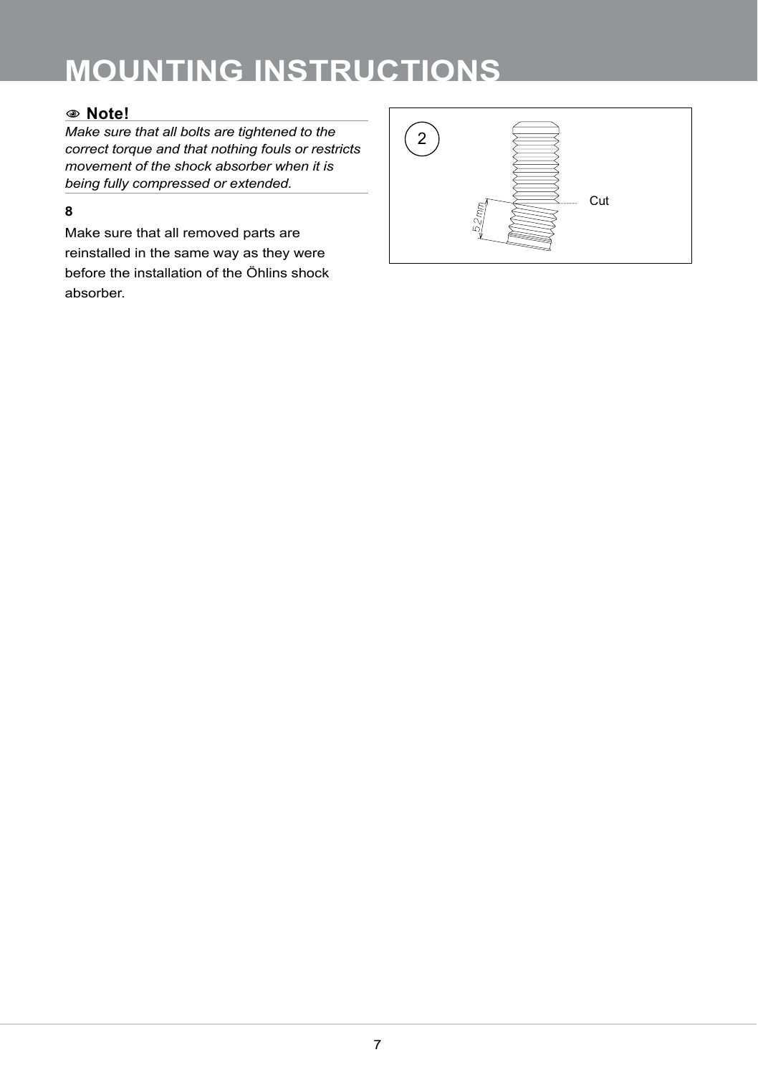# 1 **Note!**

*Make sure that all bolts are tightened to the correct torque and that nothing fouls or restricts movement of the shock absorber when it is being fully compressed or extended.*

# **8**

Make sure that all removed parts are reinstalled in the same way as they were before the installation of the Öhlins shock absorber.